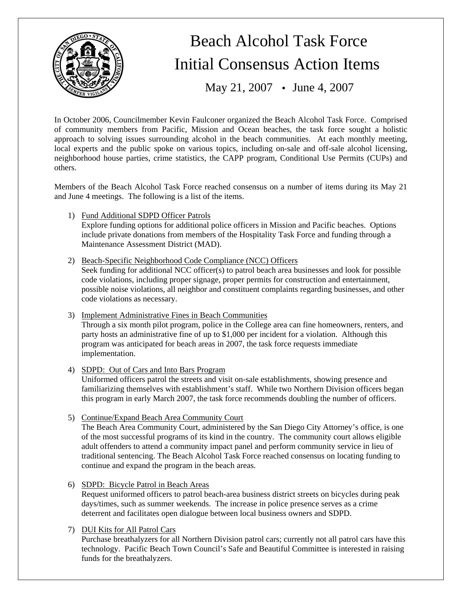

# Beach Alcohol Task Force Initial Consensus Action Items

May 21, 2007 • June 4, 2007

In October 2006, Councilmember Kevin Faulconer organized the Beach Alcohol Task Force. Comprised of community members from Pacific, Mission and Ocean beaches, the task force sought a holistic approach to solving issues surrounding alcohol in the beach communities. At each monthly meeting, local experts and the public spoke on various topics, including on-sale and off-sale alcohol licensing, neighborhood house parties, crime statistics, the CAPP program, Conditional Use Permits (CUPs) and others.

Members of the Beach Alcohol Task Force reached consensus on a number of items during its May 21 and June 4 meetings. The following is a list of the items.

1) Fund Additional SDPD Officer Patrols

Explore funding options for additional police officers in Mission and Pacific beaches. Options include private donations from members of the Hospitality Task Force and funding through a Maintenance Assessment District (MAD).

2) Beach-Specific Neighborhood Code Compliance (NCC) Officers

Seek funding for additional NCC officer(s) to patrol beach area businesses and look for possible code violations, including proper signage, proper permits for construction and entertainment, possible noise violations, all neighbor and constituent complaints regarding businesses, and other code violations as necessary.

- 3) Implement Administrative Fines in Beach Communities Through a six month pilot program, police in the College area can fine homeowners, renters, and party hosts an administrative fine of up to \$1,000 per incident for a violation. Although this program was anticipated for beach areas in 2007, the task force requests immediate implementation.
- 4) SDPD: Out of Cars and Into Bars Program Uniformed officers patrol the streets and visit on-sale establishments, showing presence and familiarizing themselves with establishment's staff. While two Northern Division officers began this program in early March 2007, the task force recommends doubling the number of officers.
- 5) Continue/Expand Beach Area Community Court

The Beach Area Community Court, administered by the San Diego City Attorney's office, is one of the most successful programs of its kind in the country. The community court allows eligible adult offenders to attend a community impact panel and perform community service in lieu of traditional sentencing. The Beach Alcohol Task Force reached consensus on locating funding to continue and expand the program in the beach areas.

6) SDPD: Bicycle Patrol in Beach Areas Request uniformed officers to patrol beach-area business district streets on bicycles during peak days/times, such as summer weekends. The increase in police presence serves as a crime

deterrent and facilitates open dialogue between local business owners and SDPD.

7) DUI Kits for All Patrol Cars

Purchase breathalyzers for all Northern Division patrol cars; currently not all patrol cars have this technology. Pacific Beach Town Council's Safe and Beautiful Committee is interested in raising funds for the breathalyzers.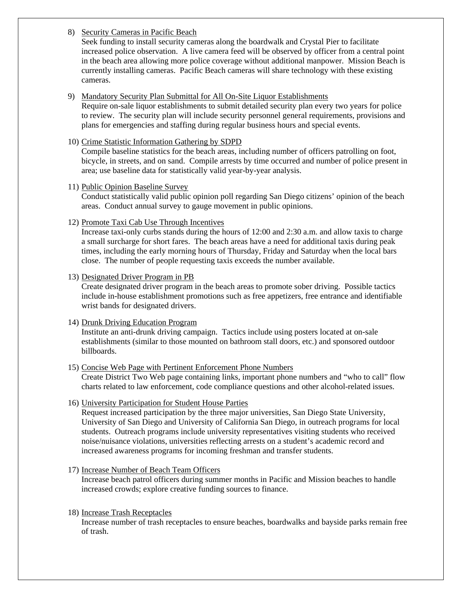## 8) Security Cameras in Pacific Beach

Seek funding to install security cameras along the boardwalk and Crystal Pier to facilitate increased police observation. A live camera feed will be observed by officer from a central point in the beach area allowing more police coverage without additional manpower. Mission Beach is currently installing cameras. Pacific Beach cameras will share technology with these existing cameras.

#### 9) Mandatory Security Plan Submittal for All On-Site Liquor Establishments

Require on-sale liquor establishments to submit detailed security plan every two years for police to review. The security plan will include security personnel general requirements, provisions and plans for emergencies and staffing during regular business hours and special events.

#### 10) Crime Statistic Information Gathering by SDPD

Compile baseline statistics for the beach areas, including number of officers patrolling on foot, bicycle, in streets, and on sand. Compile arrests by time occurred and number of police present in area; use baseline data for statistically valid year-by-year analysis.

## 11) Public Opinion Baseline Survey

Conduct statistically valid public opinion poll regarding San Diego citizens' opinion of the beach areas. Conduct annual survey to gauge movement in public opinions.

#### 12) Promote Taxi Cab Use Through Incentives

Increase taxi-only curbs stands during the hours of 12:00 and 2:30 a.m. and allow taxis to charge a small surcharge for short fares. The beach areas have a need for additional taxis during peak times, including the early morning hours of Thursday, Friday and Saturday when the local bars close. The number of people requesting taxis exceeds the number available.

## 13) Designated Driver Program in PB

Create designated driver program in the beach areas to promote sober driving. Possible tactics include in-house establishment promotions such as free appetizers, free entrance and identifiable wrist bands for designated drivers.

#### 14) Drunk Driving Education Program

Institute an anti-drunk driving campaign. Tactics include using posters located at on-sale establishments (similar to those mounted on bathroom stall doors, etc.) and sponsored outdoor billboards.

#### 15) Concise Web Page with Pertinent Enforcement Phone Numbers

Create District Two Web page containing links, important phone numbers and "who to call" flow charts related to law enforcement, code compliance questions and other alcohol-related issues.

## 16) University Participation for Student House Parties

Request increased participation by the three major universities, San Diego State University, University of San Diego and University of California San Diego, in outreach programs for local students. Outreach programs include university representatives visiting students who received noise/nuisance violations, universities reflecting arrests on a student's academic record and increased awareness programs for incoming freshman and transfer students.

## 17) Increase Number of Beach Team Officers Increase beach patrol officers during summer months in Pacific and Mission beaches to handle increased crowds; explore creative funding sources to finance.

#### 18) Increase Trash Receptacles

Increase number of trash receptacles to ensure beaches, boardwalks and bayside parks remain free of trash.